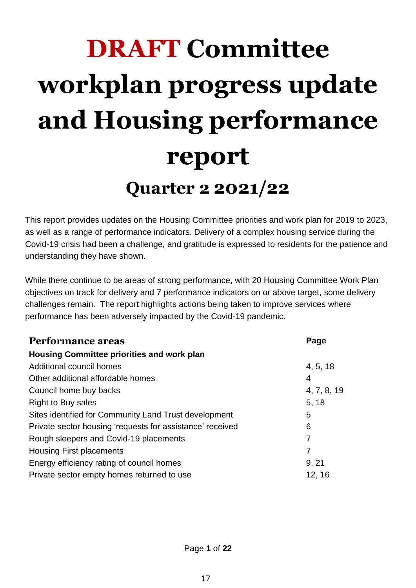# **DRAFT Committee workplan progress update and Housing performance report Quarter 2 2021/22**

This report provides updates on the Housing Committee priorities and work plan for 2019 to 2023, as well as a range of performance indicators. Delivery of a complex housing service during the Covid-19 crisis had been a challenge, and gratitude is expressed to residents for the patience and understanding they have shown.

While there continue to be areas of strong performance, with 20 Housing Committee Work Plan objectives on track for delivery and 7 performance indicators on or above target, some delivery challenges remain. The report highlights actions being taken to improve services where performance has been adversely impacted by the Covid-19 pandemic.

| <b>Performance areas</b>                                  | Page        |
|-----------------------------------------------------------|-------------|
| Housing Committee priorities and work plan                |             |
| Additional council homes                                  | 4, 5, 18    |
| Other additional affordable homes                         | 4           |
| Council home buy backs                                    | 4, 7, 8, 19 |
| <b>Right to Buy sales</b>                                 | 5, 18       |
| Sites identified for Community Land Trust development     | 5           |
| Private sector housing 'requests for assistance' received | 6           |
| Rough sleepers and Covid-19 placements                    | 7           |
| <b>Housing First placements</b>                           | 7           |
| Energy efficiency rating of council homes                 | 9, 21       |
| Private sector empty homes returned to use                | 12, 16      |

Page **1** of **22**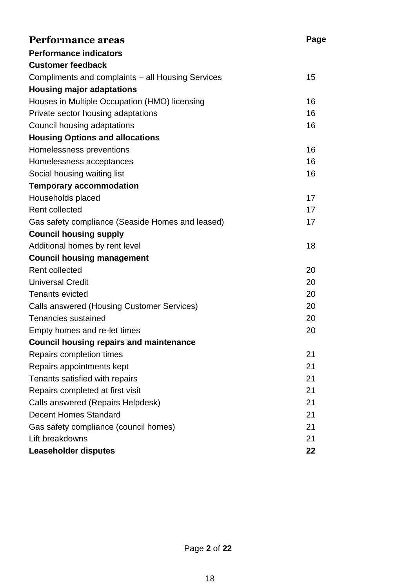| <b>Performance areas</b>                          | Page |
|---------------------------------------------------|------|
| <b>Performance indicators</b>                     |      |
| <b>Customer feedback</b>                          |      |
| Compliments and complaints – all Housing Services | 15   |
| <b>Housing major adaptations</b>                  |      |
| Houses in Multiple Occupation (HMO) licensing     | 16   |
| Private sector housing adaptations                | 16   |
| Council housing adaptations                       | 16   |
| <b>Housing Options and allocations</b>            |      |
| Homelessness preventions                          | 16   |
| Homelessness acceptances                          | 16   |
| Social housing waiting list                       | 16   |
| <b>Temporary accommodation</b>                    |      |
| Households placed                                 | 17   |
| <b>Rent collected</b>                             | 17   |
| Gas safety compliance (Seaside Homes and leased)  | 17   |
| <b>Council housing supply</b>                     |      |
| Additional homes by rent level                    | 18   |
| <b>Council housing management</b>                 |      |
| <b>Rent collected</b>                             | 20   |
| <b>Universal Credit</b>                           | 20   |
| <b>Tenants evicted</b>                            | 20   |
| Calls answered (Housing Customer Services)        | 20   |
| <b>Tenancies sustained</b>                        | 20   |
| Empty homes and re-let times                      | 20   |
| <b>Council housing repairs and maintenance</b>    |      |
| Repairs completion times                          | 21   |
| Repairs appointments kept                         | 21   |
| Tenants satisfied with repairs                    | 21   |
| Repairs completed at first visit                  | 21   |
| Calls answered (Repairs Helpdesk)                 | 21   |
| <b>Decent Homes Standard</b>                      | 21   |
| Gas safety compliance (council homes)             | 21   |
| Lift breakdowns                                   | 21   |
| <b>Leaseholder disputes</b>                       | 22   |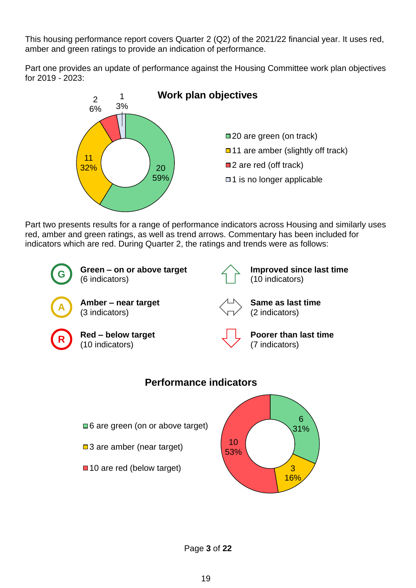This housing performance report covers Quarter 2 (Q2) of the 2021/22 financial year. It uses red, amber and green ratings to provide an indication of performance.

Part one provides an update of performance against the Housing Committee work plan objectives for 2019 - 2023:



Part two presents results for a range of performance indicators across Housing and similarly uses red, amber and green ratings, as well as trend arrows. Commentary has been included for indicators which are red. During Quarter 2, the ratings and trends were as follows:



Page **3** of **22**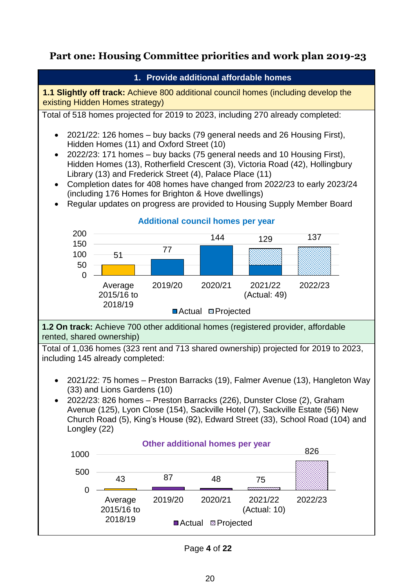### **Part one: Housing Committee priorities and work plan 2019-23**



Page **4** of **22**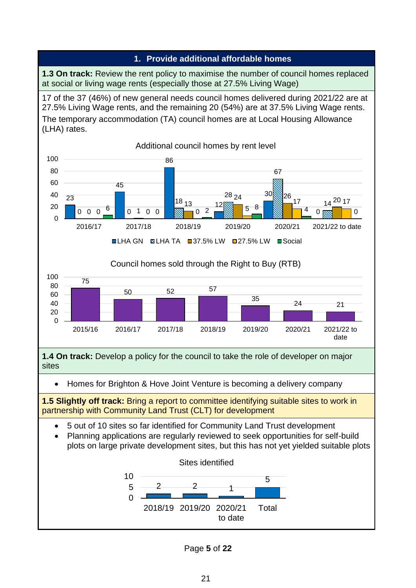#### **1. Provide additional affordable homes**

**1.3 On track:** Review the rent policy to maximise the number of council homes replaced at social or living wage rents (especially those at 27.5% Living Wage)

17 of the 37 (46%) of new general needs council homes delivered during 2021/22 are at 27.5% Living Wage rents, and the remaining 20 (54%) are at 37.5% Living Wage rents. The temporary accommodation (TA) council homes are at Local Housing Allowance (LHA) rates.



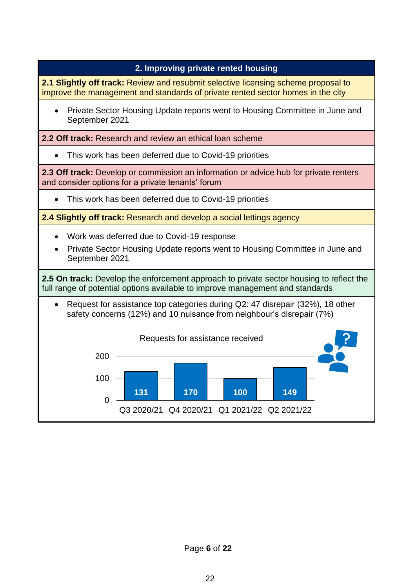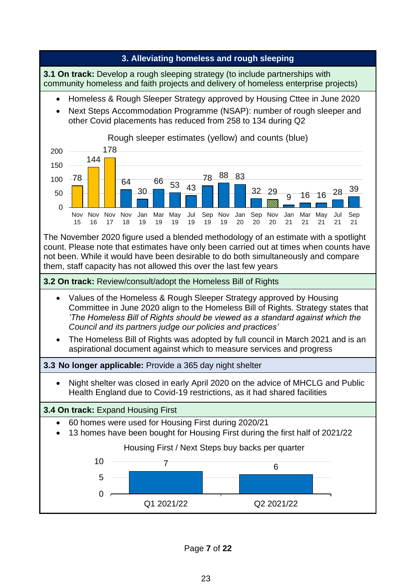

Page **7** of **22**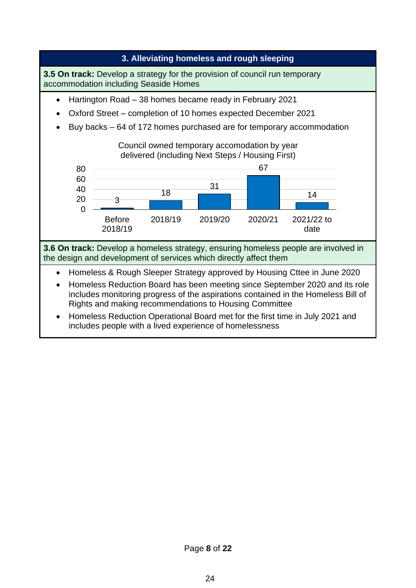

Page **8** of **22**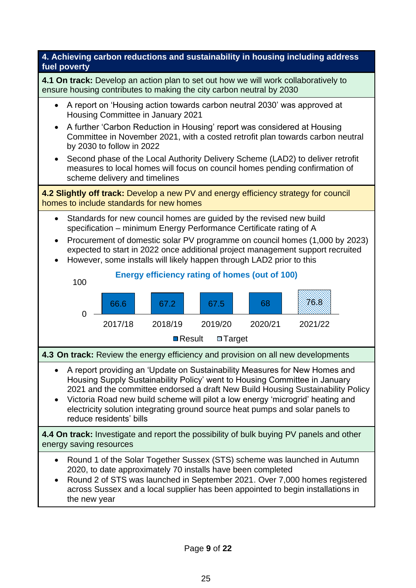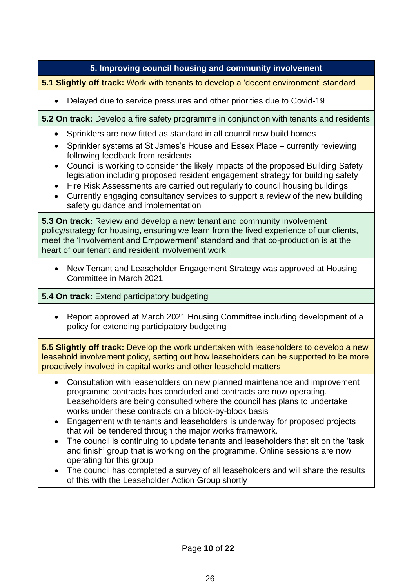#### **5. Improving council housing and community involvement**

**5.1 Slightly off track:** Work with tenants to develop a 'decent environment' standard

• Delayed due to service pressures and other priorities due to Covid-19

**5.2 On track:** Develop a fire safety programme in conjunction with tenants and residents

- Sprinklers are now fitted as standard in all council new build homes
- Sprinkler systems at St James's House and Essex Place currently reviewing following feedback from residents
- Council is working to consider the likely impacts of the proposed Building Safety legislation including proposed resident engagement strategy for building safety
- Fire Risk Assessments are carried out regularly to council housing buildings
- Currently engaging consultancy services to support a review of the new building safety guidance and implementation

**5.3 On track:** Review and develop a new tenant and community involvement policy/strategy for housing, ensuring we learn from the lived experience of our clients, meet the 'Involvement and Empowerment' standard and that co-production is at the heart of our tenant and resident involvement work

• New Tenant and Leaseholder Engagement Strategy was approved at Housing Committee in March 2021

#### **5.4 On track:** Extend participatory budgeting

• Report approved at March 2021 Housing Committee including development of a policy for extending participatory budgeting

**5.5 Slightly off track:** Develop the work undertaken with leaseholders to develop a new leasehold involvement policy, setting out how leaseholders can be supported to be more proactively involved in capital works and other leasehold matters

- Consultation with leaseholders on new planned maintenance and improvement programme contracts has concluded and contracts are now operating. Leaseholders are being consulted where the council has plans to undertake works under these contracts on a block-by-block basis
- Engagement with tenants and leaseholders is underway for proposed projects that will be tendered through the major works framework.
- The council is continuing to update tenants and leaseholders that sit on the 'task and finish' group that is working on the programme. Online sessions are now operating for this group
- The council has completed a survey of all leaseholders and will share the results of this with the Leaseholder Action Group shortly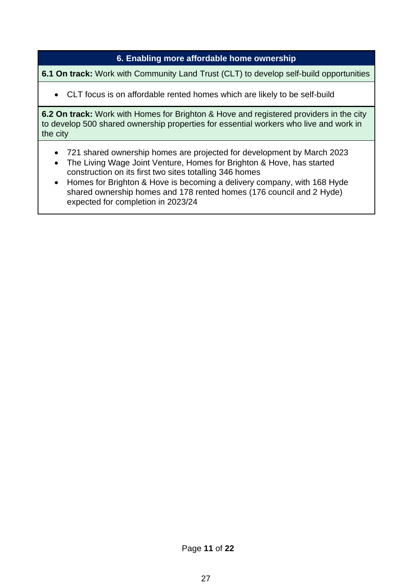#### **6. Enabling more affordable home ownership**

**6.1 On track:** Work with Community Land Trust (CLT) to develop self-build opportunities

• CLT focus is on affordable rented homes which are likely to be self-build

**6.2 On track:** Work with Homes for Brighton & Hove and registered providers in the city to develop 500 shared ownership properties for essential workers who live and work in the city

- 721 shared ownership homes are projected for development by March 2023
- The Living Wage Joint Venture, Homes for Brighton & Hove, has started construction on its first two sites totalling 346 homes
- Homes for Brighton & Hove is becoming a delivery company, with 168 Hyde shared ownership homes and 178 rented homes (176 council and 2 Hyde) expected for completion in 2023/24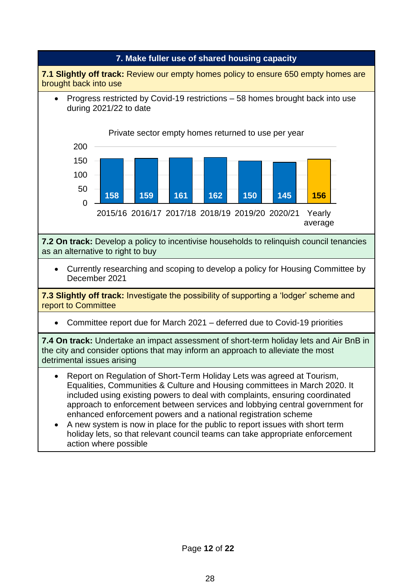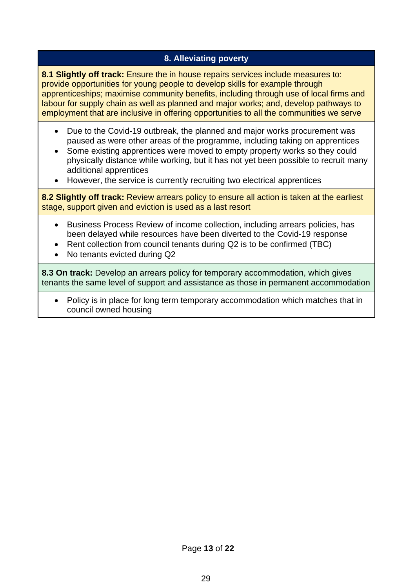#### **8. Alleviating poverty**

**8.1 Slightly off track:** Ensure the in house repairs services include measures to: provide opportunities for young people to develop skills for example through apprenticeships; maximise community benefits, including through use of local firms and labour for supply chain as well as planned and major works; and, develop pathways to employment that are inclusive in offering opportunities to all the communities we serve

- Due to the Covid-19 outbreak, the planned and major works procurement was paused as were other areas of the programme, including taking on apprentices
- Some existing apprentices were moved to empty property works so they could physically distance while working, but it has not yet been possible to recruit many additional apprentices
- However, the service is currently recruiting two electrical apprentices

**8.2 Slightly off track:** Review arrears policy to ensure all action is taken at the earliest stage, support given and eviction is used as a last resort

- Business Process Review of income collection, including arrears policies, has been delayed while resources have been diverted to the Covid-19 response
- Rent collection from council tenants during Q2 is to be confirmed (TBC)
- No tenants evicted during Q2

**8.3 On track:** Develop an arrears policy for temporary accommodation, which gives tenants the same level of support and assistance as those in permanent accommodation

• Policy is in place for long term temporary accommodation which matches that in council owned housing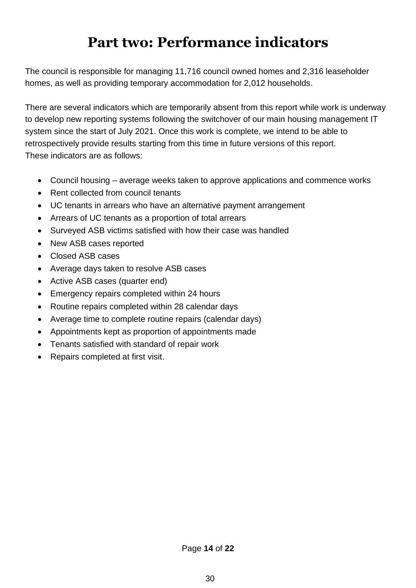# **Part two: Performance indicators**

The council is responsible for managing 11,716 council owned homes and 2,316 leaseholder homes, as well as providing temporary accommodation for 2,012 households.

There are several indicators which are temporarily absent from this report while work is underway to develop new reporting systems following the switchover of our main housing management IT system since the start of July 2021. Once this work is complete, we intend to be able to retrospectively provide results starting from this time in future versions of this report. These indicators are as follows:

- Council housing average weeks taken to approve applications and commence works
- Rent collected from council tenants
- UC tenants in arrears who have an alternative payment arrangement
- Arrears of UC tenants as a proportion of total arrears
- Surveyed ASB victims satisfied with how their case was handled
- New ASB cases reported
- Closed ASB cases
- Average days taken to resolve ASB cases
- Active ASB cases (quarter end)
- Emergency repairs completed within 24 hours
- Routine repairs completed within 28 calendar days
- Average time to complete routine repairs (calendar days)
- Appointments kept as proportion of appointments made
- Tenants satisfied with standard of repair work
- Repairs completed at first visit.

Page **14** of **22**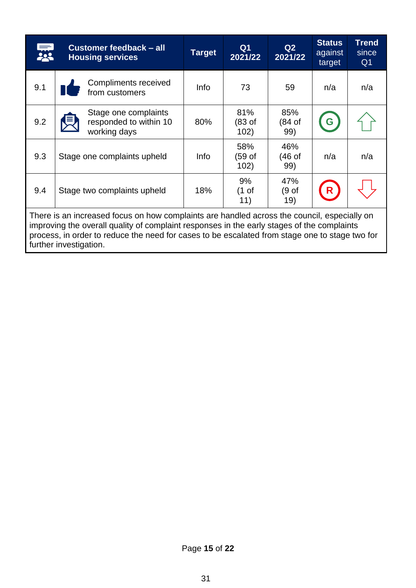|                                                                                                                                                                                                                                                                                                                       | Customer feedback - all<br><b>Housing services</b>             | <b>Target</b> | Q <sub>1</sub><br>2021/22 | Q2<br>2021/22                    | <b>Status</b><br>against<br>target | <b>Trend</b><br>since<br>Q <sub>1</sub> |  |  |  |
|-----------------------------------------------------------------------------------------------------------------------------------------------------------------------------------------------------------------------------------------------------------------------------------------------------------------------|----------------------------------------------------------------|---------------|---------------------------|----------------------------------|------------------------------------|-----------------------------------------|--|--|--|
| 9.1                                                                                                                                                                                                                                                                                                                   | Compliments received<br>from customers                         | <b>Info</b>   | 73                        | 59                               | n/a                                | n/a                                     |  |  |  |
| 9.2                                                                                                                                                                                                                                                                                                                   | Stage one complaints<br>responded to within 10<br>working days | 80%           | 81%<br>(83 of<br>102)     | 85%<br>(84 of<br>99)             |                                    |                                         |  |  |  |
| 9.3                                                                                                                                                                                                                                                                                                                   | Stage one complaints upheld                                    | Info          | 58%<br>(59 of<br>102)     | 46%<br>(46 of<br>99)             | n/a                                | n/a                                     |  |  |  |
| 9.4                                                                                                                                                                                                                                                                                                                   | Stage two complaints upheld                                    | 18%           | 9%<br>(1 of<br>11)        | 47%<br>(9 <sub>of</sub> )<br>19) |                                    |                                         |  |  |  |
| There is an increased focus on how complaints are handled across the council, especially on<br>improving the overall quality of complaint responses in the early stages of the complaints<br>process, in order to reduce the need for cases to be escalated from stage one to stage two for<br>further investigation. |                                                                |               |                           |                                  |                                    |                                         |  |  |  |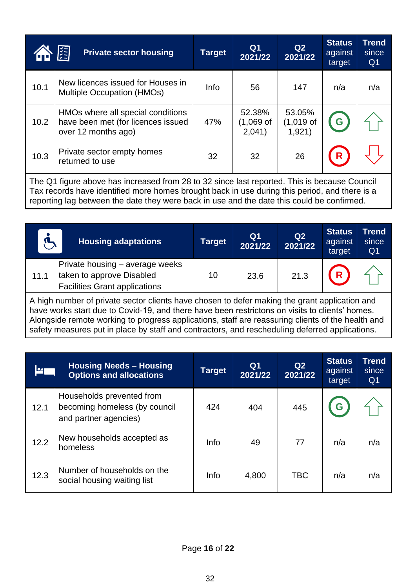|      | 隕<br><b>Private sector housing</b>                                                                                                                                                            | <b>Target</b> | Q <sub>1</sub><br>2021/22     | Q2<br>2021/22                   | <b>Status</b><br>against<br>target | <b>Trend</b><br>since<br>Q <sub>1</sub> |  |  |  |  |
|------|-----------------------------------------------------------------------------------------------------------------------------------------------------------------------------------------------|---------------|-------------------------------|---------------------------------|------------------------------------|-----------------------------------------|--|--|--|--|
| 10.1 | New licences issued for Houses in<br>Multiple Occupation (HMOs)                                                                                                                               | Info          | 56                            | 147                             | n/a                                | n/a                                     |  |  |  |  |
| 10.2 | HMOs where all special conditions<br>have been met (for licences issued<br>over 12 months ago)                                                                                                | 47%           | 52.38%<br>(1,069 of<br>2,041) | 53.05%<br>$(1,019$ of<br>1,921) | G                                  |                                         |  |  |  |  |
| 10.3 | Private sector empty homes<br>returned to use                                                                                                                                                 | 32            | 32                            | 26                              | R                                  |                                         |  |  |  |  |
|      | The Q1 figure above has increased from 28 to 32 since last reported. This is because Council<br>Tax records have identified more homes brought back in use during this period, and there is a |               |                               |                                 |                                    |                                         |  |  |  |  |

reporting lag between the date they were back in use and the date this could be confirmed.

|      | <b>Housing adaptations</b>                                                                           | <b>Target</b> | Q <sub>1</sub><br>2021/22 | Q <sub>2</sub><br>2021/22 | <b>Status</b><br>against<br>target | <b>Trend</b><br>since<br>Q <sub>1</sub> |
|------|------------------------------------------------------------------------------------------------------|---------------|---------------------------|---------------------------|------------------------------------|-----------------------------------------|
| 11.1 | Private housing – average weeks<br>taken to approve Disabled<br><b>Facilities Grant applications</b> | 10            | 23.6                      | 21.3                      | R.                                 |                                         |
|      |                                                                                                      |               |                           |                           |                                    |                                         |

A high number of private sector clients have chosen to defer making the grant application and have works start due to Covid-19, and there have been restrictons on visits to clients' homes. Alongside remote working to progress applications, staff are reassuring clients of the health and safety measures put in place by staff and contractors, and rescheduling deferred applications.

|      | <b>Housing Needs - Housing</b><br><b>Options and allocations</b>                    | <b>Target</b> | Q <sub>1</sub><br>2021/22 | Q2<br>2021/22 | <b>Status</b><br>against<br>target | <b>Trend</b><br>since<br>Q <sub>1</sub> |
|------|-------------------------------------------------------------------------------------|---------------|---------------------------|---------------|------------------------------------|-----------------------------------------|
| 12.1 | Households prevented from<br>becoming homeless (by council<br>and partner agencies) | 424           | 404                       | 445           | G                                  |                                         |
| 12.2 | New households accepted as<br>homeless                                              | <b>Info</b>   | 49                        | 77            | n/a                                | n/a                                     |
| 12.3 | Number of households on the<br>social housing waiting list                          | Info          | 4,800                     | <b>TBC</b>    | n/a                                | n/a                                     |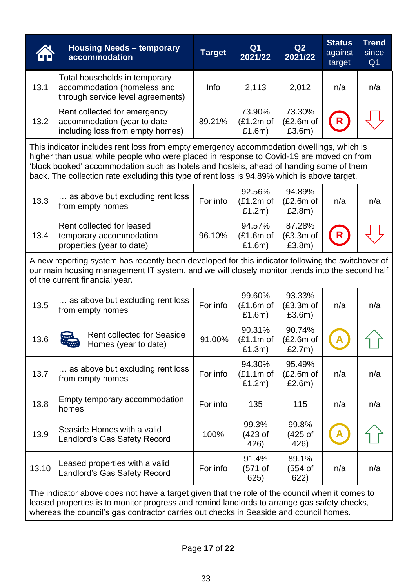|                                                                                                                                                                                                                                                                                                                                                                               | <b>Housing Needs - temporary</b><br>accommodation                                                                                                                                                                                                                                      | <b>Target</b> | Q <sub>1</sub><br>2021/22       | Q2<br>2021/22                        | <b>Status</b><br>against<br>target | <b>Trend</b><br>since<br>Q <sub>1</sub> |  |  |  |
|-------------------------------------------------------------------------------------------------------------------------------------------------------------------------------------------------------------------------------------------------------------------------------------------------------------------------------------------------------------------------------|----------------------------------------------------------------------------------------------------------------------------------------------------------------------------------------------------------------------------------------------------------------------------------------|---------------|---------------------------------|--------------------------------------|------------------------------------|-----------------------------------------|--|--|--|
| 13.1                                                                                                                                                                                                                                                                                                                                                                          | Total households in temporary<br>accommodation (homeless and<br>through service level agreements)                                                                                                                                                                                      | Info          | 2,113                           | 2,012                                | n/a                                | n/a                                     |  |  |  |
| 13.2                                                                                                                                                                                                                                                                                                                                                                          | Rent collected for emergency<br>accommodation (year to date<br>including loss from empty homes)                                                                                                                                                                                        | 89.21%        | 73.90%<br>$(E1.2m$ of<br>£1.6m) | 73.30%<br>$(E2.6m$ of<br>£3.6m)      | R                                  |                                         |  |  |  |
| This indicator includes rent loss from empty emergency accommodation dwellings, which is<br>higher than usual while people who were placed in response to Covid-19 are moved on from<br>'block booked' accommodation such as hotels and hostels, ahead of handing some of them<br>back. The collection rate excluding this type of rent loss is 94.89% which is above target. |                                                                                                                                                                                                                                                                                        |               |                                 |                                      |                                    |                                         |  |  |  |
| 13.3                                                                                                                                                                                                                                                                                                                                                                          | as above but excluding rent loss<br>from empty homes                                                                                                                                                                                                                                   | For info      | 92.56%<br>$(E1.2m$ of<br>£1.2m) | 94.89%<br>(E2.6m of<br>£2.8m)        | n/a                                | n/a                                     |  |  |  |
| 13.4                                                                                                                                                                                                                                                                                                                                                                          | Rent collected for leased<br>temporary accommodation<br>properties (year to date)                                                                                                                                                                                                      | 96.10%        | 94.57%<br>(E1.6m of<br>£1.6m)   | 87.28%<br>$(E3.3m$ of<br>£3.8m)      | R                                  |                                         |  |  |  |
|                                                                                                                                                                                                                                                                                                                                                                               | A new reporting system has recently been developed for this indicator following the switchover of<br>our main housing management IT system, and we will closely monitor trends into the second half<br>of the current financial year.                                                  |               |                                 |                                      |                                    |                                         |  |  |  |
| 13.5                                                                                                                                                                                                                                                                                                                                                                          | as above but excluding rent loss<br>from empty homes                                                                                                                                                                                                                                   | For info      | 99.60%<br>(E1.6m of<br>£1.6m)   | 93.33%<br>$(E3.3m$ of<br>£3.6m)      | n/a                                | n/a                                     |  |  |  |
| 13.6                                                                                                                                                                                                                                                                                                                                                                          | <b>Rent collected for Seaside</b><br>Homes (year to date)                                                                                                                                                                                                                              | 91.00%        | 90.31%<br>$(E1.1m$ of<br>£1.3m) | 90.74%<br>(£2.6m of<br>£2.7m)        |                                    |                                         |  |  |  |
| 13.7                                                                                                                                                                                                                                                                                                                                                                          | as above but excluding rent loss<br>from empty homes                                                                                                                                                                                                                                   | For info      | 94.30%<br>$(E1.1m$ of<br>£1.2m) | 95.49%<br>$(E2.6m$ of<br>£2.6m)      | n/a                                | n/a                                     |  |  |  |
| 13.8                                                                                                                                                                                                                                                                                                                                                                          | Empty temporary accommodation<br>homes                                                                                                                                                                                                                                                 | For info      | 135                             | 115                                  | n/a                                | n/a                                     |  |  |  |
| 13.9                                                                                                                                                                                                                                                                                                                                                                          | Seaside Homes with a valid<br>Landlord's Gas Safety Record                                                                                                                                                                                                                             | 100%          | 99.3%<br>(423 of<br>426)        | 99.8%<br>$(425$ of<br>426)           |                                    |                                         |  |  |  |
| 13.10                                                                                                                                                                                                                                                                                                                                                                         | Leased properties with a valid<br>Landlord's Gas Safety Record                                                                                                                                                                                                                         | For info      | 91.4%<br>(571 of<br>625)        | 89.1%<br>(554 <sub>o</sub> )<br>622) | n/a                                | n/a                                     |  |  |  |
|                                                                                                                                                                                                                                                                                                                                                                               | The indicator above does not have a target given that the role of the council when it comes to<br>leased properties is to monitor progress and remind landlords to arrange gas safety checks,<br>whereas the council's gas contractor carries out checks in Seaside and council homes. |               |                                 |                                      |                                    |                                         |  |  |  |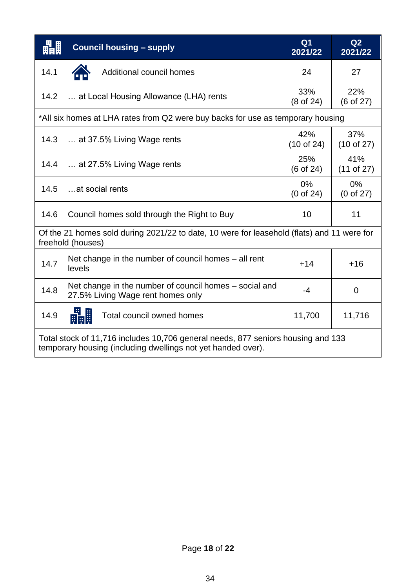| 畾畾   | <b>Council housing - supply</b>                                                                                                                  | Q <sub>1</sub><br>2021/22     | Q2<br>2021/22       |
|------|--------------------------------------------------------------------------------------------------------------------------------------------------|-------------------------------|---------------------|
| 14.1 | Additional council homes                                                                                                                         | 24                            | 27                  |
| 14.2 | at Local Housing Allowance (LHA) rents                                                                                                           | 33%<br>(8 of 24)              | 22%<br>(6 of 27)    |
|      | *All six homes at LHA rates from Q2 were buy backs for use as temporary housing                                                                  |                               |                     |
| 14.3 | at 37.5% Living Wage rents                                                                                                                       | 42%<br>$(10$ of 24)           | 37%<br>$(10$ of 27) |
| 14.4 | at 27.5% Living Wage rents                                                                                                                       | 25%<br>$(6 \text{ of } 24)$   | 41%<br>$(11$ of 27) |
| 14.5 | at social rents                                                                                                                                  | $0\%$<br>$(0 \text{ of } 24)$ | $0\%$<br>(0 of 27)  |
| 14.6 | Council homes sold through the Right to Buy                                                                                                      | 10                            | 11                  |
|      | Of the 21 homes sold during 2021/22 to date, 10 were for leasehold (flats) and 11 were for<br>freehold (houses)                                  |                               |                     |
| 14.7 | Net change in the number of council homes $-$ all rent<br>levels                                                                                 | $+14$                         | $+16$               |
| 14.8 | Net change in the number of council homes – social and<br>27.5% Living Wage rent homes only                                                      | $-4$                          | $\overline{0}$      |
| 14.9 | 野<br>畾<br>Total council owned homes                                                                                                              | 11,700                        | 11,716              |
|      | Total stock of 11,716 includes 10,706 general needs, 877 seniors housing and 133<br>temporary housing (including dwellings not yet handed over). |                               |                     |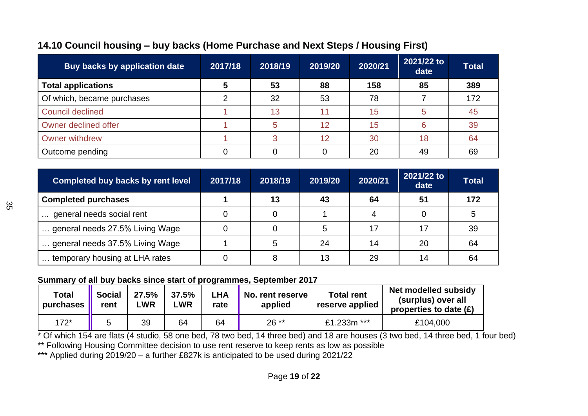| <b>Buy backs by application date</b> | 2017/18                 | 2018/19 | 2019/20 | 2020/21 | 2021/22 to<br>date | <b>Total</b> |
|--------------------------------------|-------------------------|---------|---------|---------|--------------------|--------------|
| <b>Total applications</b>            | $\overline{\mathbf{5}}$ | 53      | 88      | 158     | 85                 | 389          |
| Of which, became purchases           | ⌒                       | 32      | 53      | 78      |                    | 172          |
| <b>Council declined</b>              |                         | 13      | 11      | 15      | 5                  | 45           |
| Owner declined offer                 |                         | 5       | 12      | 15      | 6                  | 39           |
| <b>Owner withdrew</b>                |                         | 3       | 12      | 30      | 18                 | 64           |
| Outcome pending                      |                         |         |         | 20      | 49                 | 69           |

## **14.10 Council housing – buy backs (Home Purchase and Next Steps / Housing First)**

| <b>Completed buy backs by rent level</b> | 2017/18 | 2018/19 | 2019/20 | 2020/21 | 2021/22 to<br>date | <b>Total</b> |
|------------------------------------------|---------|---------|---------|---------|--------------------|--------------|
| <b>Completed purchases</b>               |         | 13      | 43      | 64      | 51                 | 172          |
| general needs social rent                |         |         |         |         |                    |              |
| general needs 27.5% Living Wage          |         |         | 5       | 17      | 17                 | 39           |
| general needs 37.5% Living Wage          |         | 5       | 24      | 14      | 20                 | 64           |
| temporary housing at LHA rates           |         | 8       | 13      | 29      | 14                 | 64           |

#### **Summary of all buy backs since start of programmes, September 2017**

| Total<br>purchases | <b>Social</b><br>rent | 27.5%<br><b>LWR</b> | 37.5%<br>LWR | LHA<br>rate | No. rent reserve<br>applied | <b>Total rent</b><br>reserve applied | Net modelled subsidy<br>(surplus) over all<br>properties to date $(E)$ |
|--------------------|-----------------------|---------------------|--------------|-------------|-----------------------------|--------------------------------------|------------------------------------------------------------------------|
| $172*$             |                       | 39                  | 64           | 64          | $26**$                      | £1.233m ***                          | £104,000                                                               |

\* Of which 154 are flats (4 studio, 58 one bed, 78 two bed, 14 three bed) and 18 are houses (3 two bed, 14 three bed, 1 four bed) \*\* Following Housing Committee decision to use rent reserve to keep rents as low as possible

\*\*\* Applied during 2019/20 - a further £827k is anticipated to be used during 2021/22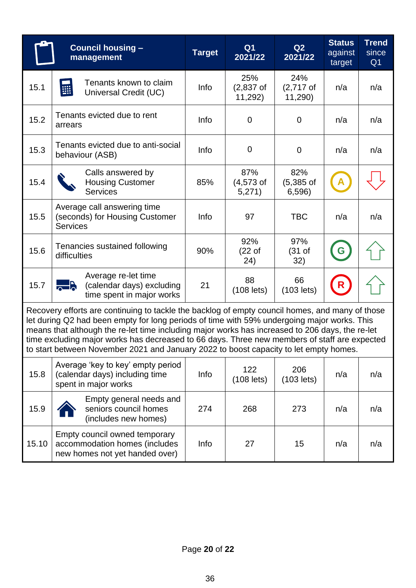|                                                                                                                                                                                                                                                                                                                                                                                                                                                                                            | <b>Council housing -</b><br>management                                                           | <b>Target</b> | Q <sub>1</sub><br>2021/22        | Q2<br>2021/22                 | <b>Status</b><br>against<br>target | <b>Trend</b><br>since<br>Q <sub>1</sub> |  |  |  |  |
|--------------------------------------------------------------------------------------------------------------------------------------------------------------------------------------------------------------------------------------------------------------------------------------------------------------------------------------------------------------------------------------------------------------------------------------------------------------------------------------------|--------------------------------------------------------------------------------------------------|---------------|----------------------------------|-------------------------------|------------------------------------|-----------------------------------------|--|--|--|--|
| 15.1                                                                                                                                                                                                                                                                                                                                                                                                                                                                                       | Tenants known to claim<br>鼺<br>Universal Credit (UC)                                             | Info          | 25%<br>$(2,837$ of<br>11,292)    | 24%<br>$(2,717)$ of<br>11,290 | n/a                                | n/a                                     |  |  |  |  |
| 15.2                                                                                                                                                                                                                                                                                                                                                                                                                                                                                       | Tenants evicted due to rent<br>arrears                                                           | Info          | $\mathbf 0$                      | $\mathbf 0$                   | n/a                                | n/a                                     |  |  |  |  |
| 15.3                                                                                                                                                                                                                                                                                                                                                                                                                                                                                       | Tenants evicted due to anti-social<br>behaviour (ASB)                                            | Info          | 0                                | $\mathbf 0$                   | n/a                                | n/a                                     |  |  |  |  |
| 15.4                                                                                                                                                                                                                                                                                                                                                                                                                                                                                       | Calls answered by<br><b>Housing Customer</b><br><b>Services</b>                                  | 85%           | 87%<br>$(4,573$ of<br>5,271)     | 82%<br>$(5,385$ of<br>6,596)  |                                    |                                         |  |  |  |  |
| 15.5                                                                                                                                                                                                                                                                                                                                                                                                                                                                                       | Average call answering time<br>(seconds) for Housing Customer<br><b>Services</b>                 | Info          | 97                               | <b>TBC</b>                    | n/a                                | n/a                                     |  |  |  |  |
| 15.6                                                                                                                                                                                                                                                                                                                                                                                                                                                                                       | Tenancies sustained following<br>difficulties                                                    | 90%           | 92%<br>(22 <sub>o</sub> )<br>24) | 97%<br>(31 of<br>32)          | G                                  |                                         |  |  |  |  |
| 15.7                                                                                                                                                                                                                                                                                                                                                                                                                                                                                       | Average re-let time<br><b>Help</b><br>(calendar days) excluding<br>time spent in major works     | 21            | 88<br>$(108$ lets)               | 66<br>$(103$ lets)            | R                                  |                                         |  |  |  |  |
| Recovery efforts are continuing to tackle the backlog of empty council homes, and many of those<br>let during Q2 had been empty for long periods of time with 59% undergoing major works. This<br>means that although the re-let time including major works has increased to 206 days, the re-let<br>time excluding major works has decreased to 66 days. Three new members of staff are expected<br>to start between November 2021 and January 2022 to boost capacity to let empty homes. |                                                                                                  |               |                                  |                               |                                    |                                         |  |  |  |  |
| 15.8                                                                                                                                                                                                                                                                                                                                                                                                                                                                                       | Average 'key to key' empty period<br>(calendar days) including time<br>spent in major works      | Info          | 122<br>$(108$ lets)              | 206<br>$(103$ lets)           | n/a                                | n/a                                     |  |  |  |  |
| 15.9                                                                                                                                                                                                                                                                                                                                                                                                                                                                                       | Empty general needs and<br>seniors council homes<br>(includes new homes)                         | 274           | 268                              | 273                           | n/a                                | n/a                                     |  |  |  |  |
| 15.10                                                                                                                                                                                                                                                                                                                                                                                                                                                                                      | Empty council owned temporary<br>accommodation homes (includes<br>new homes not yet handed over) | Info          | 27                               | 15                            | n/a                                | n/a                                     |  |  |  |  |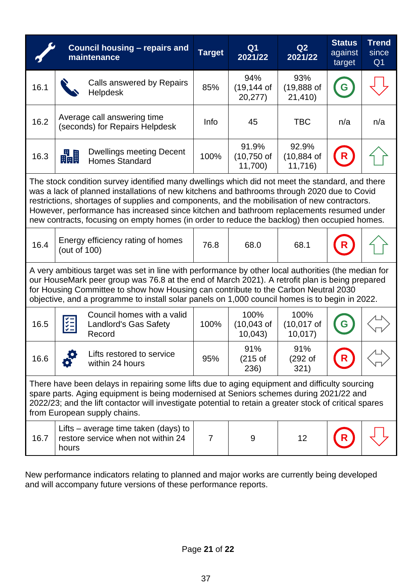|                                                                                                                                                                                                                                                                                                                                                                                                                                                                                            | <b>Council housing - repairs and</b><br>maintenance                                   | <b>Target</b>  | Q <sub>1</sub><br>2021/22         | Q2<br>2021/22                     | <b>Status</b><br>against<br>target | <b>Trend</b><br>since<br>Q <sub>1</sub> |  |  |
|--------------------------------------------------------------------------------------------------------------------------------------------------------------------------------------------------------------------------------------------------------------------------------------------------------------------------------------------------------------------------------------------------------------------------------------------------------------------------------------------|---------------------------------------------------------------------------------------|----------------|-----------------------------------|-----------------------------------|------------------------------------|-----------------------------------------|--|--|
| 16.1                                                                                                                                                                                                                                                                                                                                                                                                                                                                                       | Calls answered by Repairs<br><b>Helpdesk</b>                                          | 85%            | 94%<br>$(19, 144$ of<br>20,277)   | 93%<br>$(19,888$ of<br>21,410)    |                                    |                                         |  |  |
| 16.2                                                                                                                                                                                                                                                                                                                                                                                                                                                                                       | Average call answering time<br>(seconds) for Repairs Helpdesk                         | Info           | 45                                | <b>TBC</b>                        | n/a                                | n/a                                     |  |  |
| 16.3                                                                                                                                                                                                                                                                                                                                                                                                                                                                                       | <b>Dwellings meeting Decent</b><br>畾<br><b>Homes Standard</b>                         | 100%           | 91.9%<br>$(10,750)$ of<br>11,700) | 92.9%<br>$(10, 884$ of<br>11,716) |                                    |                                         |  |  |
| The stock condition survey identified many dwellings which did not meet the standard, and there<br>was a lack of planned installations of new kitchens and bathrooms through 2020 due to Covid<br>restrictions, shortages of supplies and components, and the mobilisation of new contractors.<br>However, performance has increased since kitchen and bathroom replacements resumed under<br>new contracts, focusing on empty homes (in order to reduce the backlog) then occupied homes. |                                                                                       |                |                                   |                                   |                                    |                                         |  |  |
| 16.4                                                                                                                                                                                                                                                                                                                                                                                                                                                                                       | Energy efficiency rating of homes<br>(out of 100)                                     | 76.8           | 68.0                              | 68.1                              |                                    |                                         |  |  |
| A very ambitious target was set in line with performance by other local authorities (the median for<br>our HouseMark peer group was 76.8 at the end of March 2021). A retrofit plan is being prepared<br>for Housing Committee to show how Housing can contribute to the Carbon Neutral 2030<br>objective, and a programme to install solar panels on 1,000 council homes is to begin in 2022.                                                                                             |                                                                                       |                |                                   |                                   |                                    |                                         |  |  |
| 16.5                                                                                                                                                                                                                                                                                                                                                                                                                                                                                       | Council homes with a valid<br>$\frac{1}{2}$<br><b>Landlord's Gas Safety</b><br>Record | 100%           | 100%<br>$(10,043$ of<br>10,043    | 100%<br>$(10,017$ of<br>10,017    |                                    |                                         |  |  |
| 16.6                                                                                                                                                                                                                                                                                                                                                                                                                                                                                       | Lifts restored to service<br>within 24 hours                                          | 95%            | 91%<br>(215 of<br>236)            | 91%<br>(292 of<br>321)            | R                                  |                                         |  |  |
| There have been delays in repairing some lifts due to aging equipment and difficulty sourcing<br>spare parts. Aging equipment is being modernised at Seniors schemes during 2021/22 and<br>2022/23; and the lift contactor will investigate potential to retain a greater stock of critical spares<br>from European supply chains.                                                                                                                                                         |                                                                                       |                |                                   |                                   |                                    |                                         |  |  |
| 16.7                                                                                                                                                                                                                                                                                                                                                                                                                                                                                       | Lifts – average time taken (days) to<br>restore service when not within 24<br>hours   | $\overline{7}$ | 9                                 | 12                                |                                    |                                         |  |  |

New performance indicators relating to planned and major works are currently being developed and will accompany future versions of these performance reports.